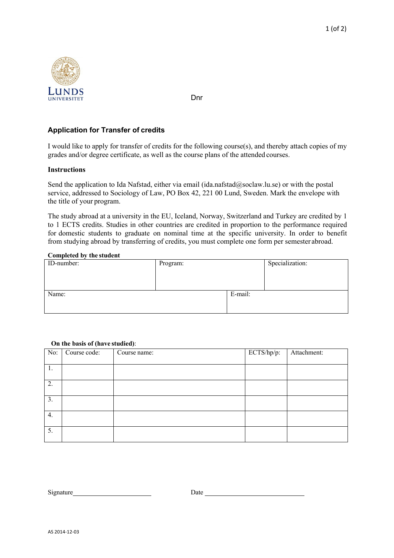

Dnr

# **Application for Transfer of credits**

I would like to apply for transfer of credits for the following course(s), and thereby attach copies of my grades and/or degree certificate, as well as the course plans of the attended courses.

## **Instructions**

Send the application to Ida Nafstad, either via email (ida.nafstad@soclaw.lu.se) or with the postal service, addressed to Sociology of Law, PO Box 42, 221 00 Lund, Sweden. Mark the envelope with the title of your program.

The study abroad at a university in the EU, Iceland, Norway, Switzerland and Turkey are credited by 1 to 1 ECTS credits. Studies in other countries are credited in proportion to the performance required for domestic students to graduate on nominal time at the specific university. In order to benefit from studying abroad by transferring of credits, you must complete one form per semester abroad.

### **Completed by the student**

| ID-number: | Program: |         | Specialization: |
|------------|----------|---------|-----------------|
| Name:      |          | E-mail: |                 |

| No: | Course code: | Course name: | ECTS/hp/p: | Attachment: |
|-----|--------------|--------------|------------|-------------|
| 1.  |              |              |            |             |
| 2.  |              |              |            |             |
| 3.  |              |              |            |             |
| 4.  |              |              |            |             |
| 5.  |              |              |            |             |

#### **On the basis of (have studied)**:

Signature Date Date